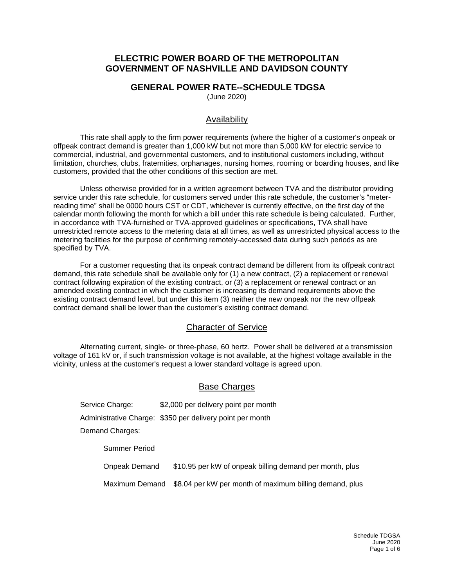## **ELECTRIC POWER BOARD OF THE METROPOLITAN GOVERNMENT OF NASHVILLE AND DAVIDSON COUNTY**

### **GENERAL POWER RATE--SCHEDULE TDGSA**

(June 2020)

### Availability

This rate shall apply to the firm power requirements (where the higher of a customer's onpeak or offpeak contract demand is greater than 1,000 kW but not more than 5,000 kW for electric service to commercial, industrial, and governmental customers, and to institutional customers including, without limitation, churches, clubs, fraternities, orphanages, nursing homes, rooming or boarding houses, and like customers, provided that the other conditions of this section are met.

Unless otherwise provided for in a written agreement between TVA and the distributor providing service under this rate schedule, for customers served under this rate schedule, the customer's "meterreading time" shall be 0000 hours CST or CDT, whichever is currently effective, on the first day of the calendar month following the month for which a bill under this rate schedule is being calculated. Further, in accordance with TVA-furnished or TVA-approved guidelines or specifications, TVA shall have unrestricted remote access to the metering data at all times, as well as unrestricted physical access to the metering facilities for the purpose of confirming remotely-accessed data during such periods as are specified by TVA.

For a customer requesting that its onpeak contract demand be different from its offpeak contract demand, this rate schedule shall be available only for (1) a new contract, (2) a replacement or renewal contract following expiration of the existing contract, or (3) a replacement or renewal contract or an amended existing contract in which the customer is increasing its demand requirements above the existing contract demand level, but under this item (3) neither the new onpeak nor the new offpeak contract demand shall be lower than the customer's existing contract demand.

### Character of Service

Alternating current, single- or three-phase, 60 hertz. Power shall be delivered at a transmission voltage of 161 kV or, if such transmission voltage is not available, at the highest voltage available in the vicinity, unless at the customer's request a lower standard voltage is agreed upon.

### Base Charges

Service Charge: \$2,000 per delivery point per month Administrative Charge: \$350 per delivery point per month Demand Charges: Summer Period

Onpeak Demand \$10.95 per kW of onpeak billing demand per month, plus

Maximum Demand \$8.04 per kW per month of maximum billing demand, plus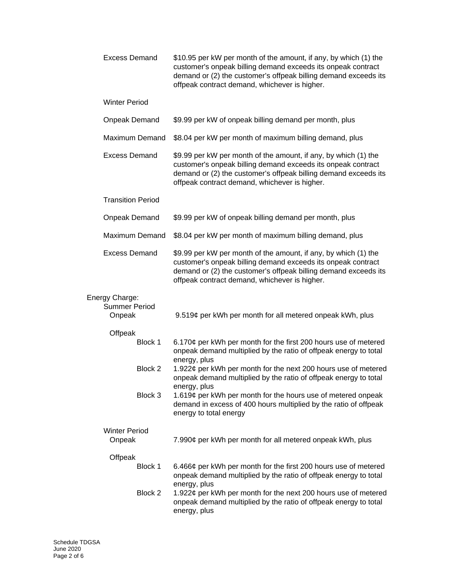| <b>Excess Demand</b>                             | \$10.95 per kW per month of the amount, if any, by which (1) the<br>customer's onpeak billing demand exceeds its onpeak contract<br>demand or (2) the customer's offpeak billing demand exceeds its<br>offpeak contract demand, whichever is higher. |
|--------------------------------------------------|------------------------------------------------------------------------------------------------------------------------------------------------------------------------------------------------------------------------------------------------------|
| <b>Winter Period</b>                             |                                                                                                                                                                                                                                                      |
| <b>Onpeak Demand</b>                             | \$9.99 per kW of onpeak billing demand per month, plus                                                                                                                                                                                               |
| <b>Maximum Demand</b>                            | \$8.04 per kW per month of maximum billing demand, plus                                                                                                                                                                                              |
| <b>Excess Demand</b>                             | \$9.99 per kW per month of the amount, if any, by which (1) the<br>customer's onpeak billing demand exceeds its onpeak contract<br>demand or (2) the customer's offpeak billing demand exceeds its<br>offpeak contract demand, whichever is higher.  |
| <b>Transition Period</b>                         |                                                                                                                                                                                                                                                      |
| <b>Onpeak Demand</b>                             | \$9.99 per kW of onpeak billing demand per month, plus                                                                                                                                                                                               |
| Maximum Demand                                   | \$8.04 per kW per month of maximum billing demand, plus                                                                                                                                                                                              |
| <b>Excess Demand</b>                             | \$9.99 per kW per month of the amount, if any, by which (1) the<br>customer's onpeak billing demand exceeds its onpeak contract<br>demand or (2) the customer's offpeak billing demand exceeds its<br>offpeak contract demand, whichever is higher.  |
| Energy Charge:<br><b>Summer Period</b><br>Onpeak | 9.519¢ per kWh per month for all metered onpeak kWh, plus                                                                                                                                                                                            |
| Offpeak                                          |                                                                                                                                                                                                                                                      |
| Block 1                                          | 6.170¢ per kWh per month for the first 200 hours use of metered<br>onpeak demand multiplied by the ratio of offpeak energy to total                                                                                                                  |
| Block 2                                          | energy, plus<br>1.922¢ per kWh per month for the next 200 hours use of metered<br>onpeak demand multiplied by the ratio of offpeak energy to total<br>energy, plus                                                                                   |
| Block 3                                          | 1.619¢ per kWh per month for the hours use of metered onpeak<br>demand in excess of 400 hours multiplied by the ratio of offpeak<br>energy to total energy                                                                                           |
| <b>Winter Period</b><br>Onpeak                   | 7.990¢ per kWh per month for all metered onpeak kWh, plus                                                                                                                                                                                            |
| Offpeak                                          |                                                                                                                                                                                                                                                      |
| Block 1                                          | 6.466¢ per kWh per month for the first 200 hours use of metered<br>onpeak demand multiplied by the ratio of offpeak energy to total<br>energy, plus                                                                                                  |
| Block 2                                          | 1.922¢ per kWh per month for the next 200 hours use of metered<br>onpeak demand multiplied by the ratio of offpeak energy to total<br>energy, plus                                                                                                   |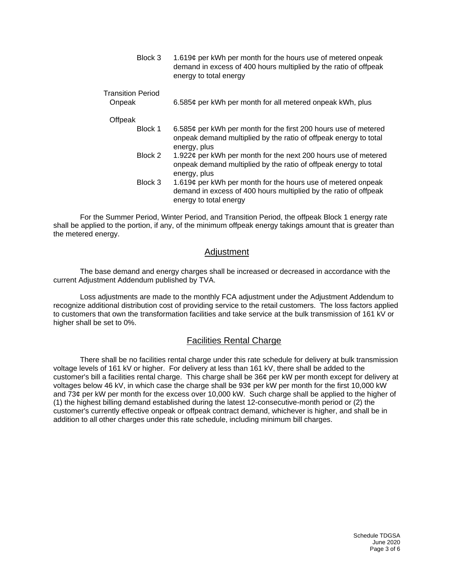| Block 3 | 1.619¢ per kWh per month for the hours use of metered onpeak     |
|---------|------------------------------------------------------------------|
|         | demand in excess of 400 hours multiplied by the ratio of offpeak |
|         | energy to total energy                                           |
|         |                                                                  |

Transition Period

| 6.585¢ per kWh per month for all metered onpeak kWh, plus | Onpeak |  |  |  |
|-----------------------------------------------------------|--------|--|--|--|
|-----------------------------------------------------------|--------|--|--|--|

**Offpeak** 

- Block 1 6.585¢ per kWh per month for the first 200 hours use of metered onpeak demand multiplied by the ratio of offpeak energy to total energy, plus
- Block 2 1.922¢ per kWh per month for the next 200 hours use of metered onpeak demand multiplied by the ratio of offpeak energy to total energy, plus
- Block 3 1.619¢ per kWh per month for the hours use of metered onpeak demand in excess of 400 hours multiplied by the ratio of offpeak energy to total energy

For the Summer Period, Winter Period, and Transition Period, the offpeak Block 1 energy rate shall be applied to the portion, if any, of the minimum offpeak energy takings amount that is greater than the metered energy.

### Adjustment

The base demand and energy charges shall be increased or decreased in accordance with the current Adjustment Addendum published by TVA.

Loss adjustments are made to the monthly FCA adjustment under the Adjustment Addendum to recognize additional distribution cost of providing service to the retail customers. The loss factors applied to customers that own the transformation facilities and take service at the bulk transmission of 161 kV or higher shall be set to 0%.

### Facilities Rental Charge

There shall be no facilities rental charge under this rate schedule for delivery at bulk transmission voltage levels of 161 kV or higher. For delivery at less than 161 kV, there shall be added to the customer's bill a facilities rental charge. This charge shall be 36¢ per kW per month except for delivery at voltages below 46 kV, in which case the charge shall be 93¢ per kW per month for the first 10,000 kW and 73¢ per kW per month for the excess over 10,000 kW. Such charge shall be applied to the higher of (1) the highest billing demand established during the latest 12-consecutive-month period or (2) the customer's currently effective onpeak or offpeak contract demand, whichever is higher, and shall be in addition to all other charges under this rate schedule, including minimum bill charges.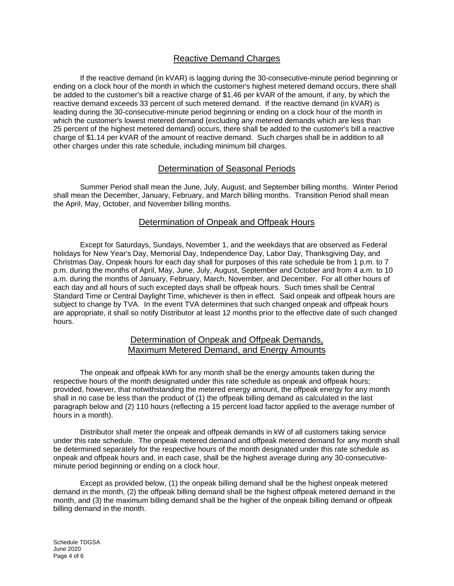# Reactive Demand Charges

If the reactive demand (in kVAR) is lagging during the 30-consecutive-minute period beginning or ending on a clock hour of the month in which the customer's highest metered demand occurs, there shall be added to the customer's bill a reactive charge of \$1.46 per kVAR of the amount, if any, by which the reactive demand exceeds 33 percent of such metered demand. If the reactive demand (in kVAR) is leading during the 30-consecutive-minute period beginning or ending on a clock hour of the month in which the customer's lowest metered demand (excluding any metered demands which are less than 25 percent of the highest metered demand) occurs, there shall be added to the customer's bill a reactive charge of \$1.14 per kVAR of the amount of reactive demand. Such charges shall be in addition to all other charges under this rate schedule, including minimum bill charges.

## Determination of Seasonal Periods

Summer Period shall mean the June, July, August, and September billing months. Winter Period shall mean the December, January, February, and March billing months. Transition Period shall mean the April, May, October, and November billing months.

### Determination of Onpeak and Offpeak Hours

Except for Saturdays, Sundays, November 1, and the weekdays that are observed as Federal holidays for New Year's Day, Memorial Day, Independence Day, Labor Day, Thanksgiving Day, and Christmas Day, Onpeak hours for each day shall for purposes of this rate schedule be from 1 p.m. to 7 p.m. during the months of April, May, June, July, August, September and October and from 4 a.m. to 10 a.m. during the months of January, February, March, November, and December. For all other hours of each day and all hours of such excepted days shall be offpeak hours. Such times shall be Central Standard Time or Central Daylight Time, whichever is then in effect. Said onpeak and offpeak hours are subject to change by TVA. In the event TVA determines that such changed onpeak and offpeak hours are appropriate, it shall so notify Distributor at least 12 months prior to the effective date of such changed hours.

### Determination of Onpeak and Offpeak Demands, Maximum Metered Demand, and Energy Amounts

The onpeak and offpeak kWh for any month shall be the energy amounts taken during the respective hours of the month designated under this rate schedule as onpeak and offpeak hours; provided, however, that notwithstanding the metered energy amount, the offpeak energy for any month shall in no case be less than the product of (1) the offpeak billing demand as calculated in the last paragraph below and (2) 110 hours (reflecting a 15 percent load factor applied to the average number of hours in a month).

Distributor shall meter the onpeak and offpeak demands in kW of all customers taking service under this rate schedule. The onpeak metered demand and offpeak metered demand for any month shall be determined separately for the respective hours of the month designated under this rate schedule as onpeak and offpeak hours and, in each case, shall be the highest average during any 30-consecutiveminute period beginning or ending on a clock hour.

Except as provided below, (1) the onpeak billing demand shall be the highest onpeak metered demand in the month, (2) the offpeak billing demand shall be the highest offpeak metered demand in the month, and (3) the maximum billing demand shall be the higher of the onpeak billing demand or offpeak billing demand in the month.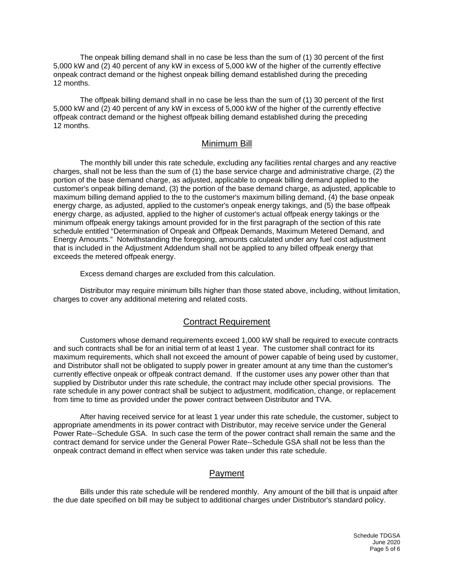The onpeak billing demand shall in no case be less than the sum of (1) 30 percent of the first 5,000 kW and (2) 40 percent of any kW in excess of 5,000 kW of the higher of the currently effective onpeak contract demand or the highest onpeak billing demand established during the preceding 12 months.

The offpeak billing demand shall in no case be less than the sum of (1) 30 percent of the first 5,000 kW and (2) 40 percent of any kW in excess of 5,000 kW of the higher of the currently effective offpeak contract demand or the highest offpeak billing demand established during the preceding 12 months.

### Minimum Bill

The monthly bill under this rate schedule, excluding any facilities rental charges and any reactive charges, shall not be less than the sum of (1) the base service charge and administrative charge, (2) the portion of the base demand charge, as adjusted, applicable to onpeak billing demand applied to the customer's onpeak billing demand, (3) the portion of the base demand charge, as adjusted, applicable to maximum billing demand applied to the to the customer's maximum billing demand, (4) the base onpeak energy charge, as adjusted, applied to the customer's onpeak energy takings, and (5) the base offpeak energy charge, as adjusted, applied to the higher of customer's actual offpeak energy takings or the minimum offpeak energy takings amount provided for in the first paragraph of the section of this rate schedule entitled "Determination of Onpeak and Offpeak Demands, Maximum Metered Demand, and Energy Amounts." Notwithstanding the foregoing, amounts calculated under any fuel cost adjustment that is included in the Adjustment Addendum shall not be applied to any billed offpeak energy that exceeds the metered offpeak energy.

Excess demand charges are excluded from this calculation.

Distributor may require minimum bills higher than those stated above, including, without limitation, charges to cover any additional metering and related costs.

#### Contract Requirement

Customers whose demand requirements exceed 1,000 kW shall be required to execute contracts and such contracts shall be for an initial term of at least 1 year. The customer shall contract for its maximum requirements, which shall not exceed the amount of power capable of being used by customer, and Distributor shall not be obligated to supply power in greater amount at any time than the customer's currently effective onpeak or offpeak contract demand. If the customer uses any power other than that supplied by Distributor under this rate schedule, the contract may include other special provisions. The rate schedule in any power contract shall be subject to adjustment, modification, change, or replacement from time to time as provided under the power contract between Distributor and TVA.

After having received service for at least 1 year under this rate schedule, the customer, subject to appropriate amendments in its power contract with Distributor, may receive service under the General Power Rate--Schedule GSA. In such case the term of the power contract shall remain the same and the contract demand for service under the General Power Rate--Schedule GSA shall not be less than the onpeak contract demand in effect when service was taken under this rate schedule.

### Payment

Bills under this rate schedule will be rendered monthly. Any amount of the bill that is unpaid after the due date specified on bill may be subject to additional charges under Distributor's standard policy.